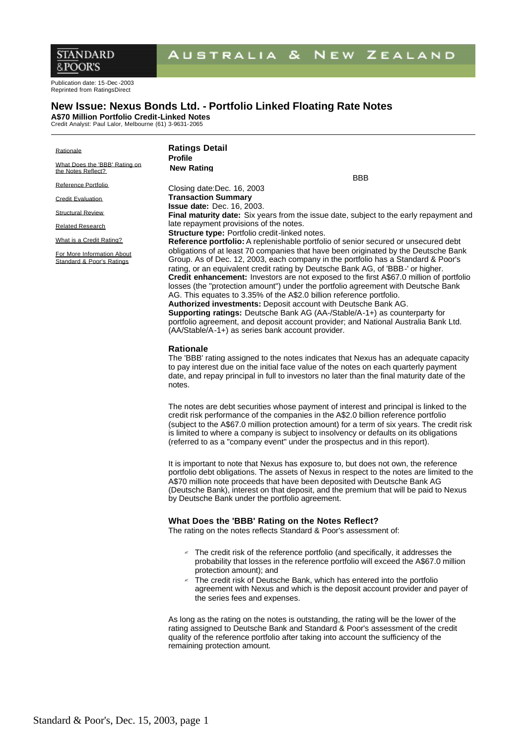# AUSTRALIA & NEW ZEALAND

Publication date: 15-Dec -2003 Reprinted from RatingsDirect

# **New Issue: Nexus Bonds Ltd. - Portfolio Linked Floating Rate Notes**

**A\$70 Million Portfolio Credit-Linked Notes** Credit Analyst: Paul Lalor, Melbourne (61) 3-9631-2065

| Rationale<br>What Does the 'BBB' Rating on              | <b>Ratings Detail</b><br><b>Profile</b><br><b>New Rating</b>                                                                                                                                                                                                                                                                                                                                                                                                                                                                                                                                                                                                                                                                                                                                                                   |
|---------------------------------------------------------|--------------------------------------------------------------------------------------------------------------------------------------------------------------------------------------------------------------------------------------------------------------------------------------------------------------------------------------------------------------------------------------------------------------------------------------------------------------------------------------------------------------------------------------------------------------------------------------------------------------------------------------------------------------------------------------------------------------------------------------------------------------------------------------------------------------------------------|
| the Notes Reflect?                                      | <b>BBB</b>                                                                                                                                                                                                                                                                                                                                                                                                                                                                                                                                                                                                                                                                                                                                                                                                                     |
| Reference Portfolio                                     | Closing date:Dec. 16, 2003                                                                                                                                                                                                                                                                                                                                                                                                                                                                                                                                                                                                                                                                                                                                                                                                     |
| <b>Credit Evaluation</b>                                | <b>Transaction Summary</b>                                                                                                                                                                                                                                                                                                                                                                                                                                                                                                                                                                                                                                                                                                                                                                                                     |
| <b>Structural Review</b>                                | <b>Issue date: Dec. 16, 2003.</b><br><b>Final maturity date:</b> Six years from the issue date, subject to the early repayment and                                                                                                                                                                                                                                                                                                                                                                                                                                                                                                                                                                                                                                                                                             |
| <b>Related Research</b>                                 | late repayment provisions of the notes.<br><b>Structure type: Portfolio credit-linked notes.</b>                                                                                                                                                                                                                                                                                                                                                                                                                                                                                                                                                                                                                                                                                                                               |
| What is a Credit Rating?                                | <b>Reference portfolio:</b> A replenishable portfolio of senior secured or unsecured debt                                                                                                                                                                                                                                                                                                                                                                                                                                                                                                                                                                                                                                                                                                                                      |
| For More Information About<br>Standard & Poor's Ratings | obligations of at least 70 companies that have been originated by the Deutsche Bank<br>Group. As of Dec. 12, 2003, each company in the portfolio has a Standard & Poor's<br>rating, or an equivalent credit rating by Deutsche Bank AG, of 'BBB-' or higher.<br>Credit enhancement: Investors are not exposed to the first A\$67.0 million of portfolio<br>losses (the "protection amount") under the portfolio agreement with Deutsche Bank<br>AG. This equates to 3.35% of the A\$2.0 billion reference portfolio.<br><b>Authorized investments:</b> Deposit account with Deutsche Bank AG.<br><b>Supporting ratings:</b> Deutsche Bank AG (AA-/Stable/A-1+) as counterparty for<br>portfolio agreement, and deposit account provider; and National Australia Bank Ltd.<br>(AA/Stable/A-1+) as series bank account provider. |
|                                                         | <b>Rationale</b><br>The 'BBB' rating assigned to the notes indicates that Nexus has an adequate capacity                                                                                                                                                                                                                                                                                                                                                                                                                                                                                                                                                                                                                                                                                                                       |

to pay interest due on the initial face value of the notes on each quarterly payment date, and repay principal in full to investors no later than the final maturity date of the notes.

The notes are debt securities whose payment of interest and principal is linked to the credit risk performance of the companies in the A\$2.0 billion reference portfolio (subject to the A\$67.0 million protection amount) for a term of six years. The credit risk is limited to where a company is subject to insolvency or defaults on its obligations (referred to as a "company event" under the prospectus and in this report).

It is important to note that Nexus has exposure to, but does not own, the reference portfolio debt obligations. The assets of Nexus in respect to the notes are limited to the A\$70 million note proceeds that have been deposited with Deutsche Bank AG (Deutsche Bank), interest on that deposit, and the premium that will be paid to Nexus by Deutsche Bank under the portfolio agreement.

# **What Does the 'BBB' Rating on the Notes Reflect?**

The rating on the notes reflects Standard & Poor's assessment of:

- $\le$  The credit risk of the reference portfolio (and specifically, it addresses the probability that losses in the reference portfolio will exceed the A\$67.0 million protection amount); and
- The credit risk of Deutsche Bank, which has entered into the portfolio agreement with Nexus and which is the deposit account provider and payer of the series fees and expenses.

As long as the rating on the notes is outstanding, the rating will be the lower of the rating assigned to Deutsche Bank and Standard & Poor's assessment of the credit quality of the reference portfolio after taking into account the sufficiency of the remaining protection amount.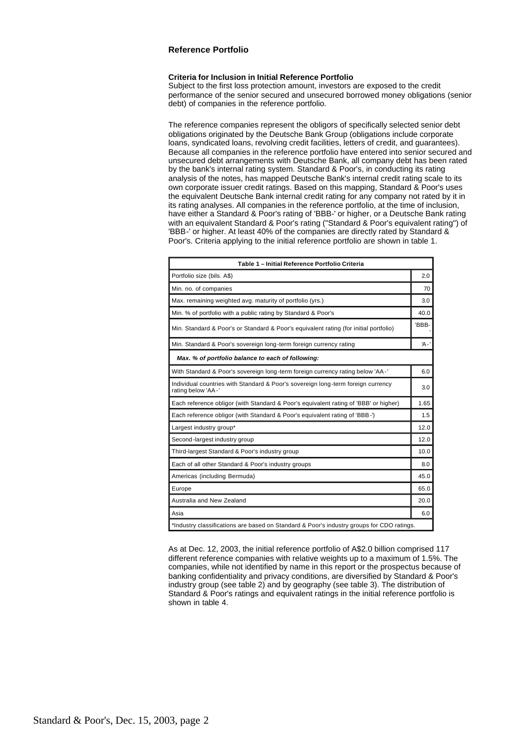# **Reference Portfolio**

#### **Criteria for Inclusion in Initial Reference Portfolio**

Subject to the first loss protection amount, investors are exposed to the credit performance of the senior secured and unsecured borrowed money obligations (senior debt) of companies in the reference portfolio.

The reference companies represent the obligors of specifically selected senior debt obligations originated by the Deutsche Bank Group (obligations include corporate loans, syndicated loans, revolving credit facilities, letters of credit, and guarantees). Because all companies in the reference portfolio have entered into senior secured and unsecured debt arrangements with Deutsche Bank, all company debt has been rated by the bank's internal rating system. Standard & Poor's, in conducting its rating analysis of the notes, has mapped Deutsche Bank's internal credit rating scale to its own corporate issuer credit ratings. Based on this mapping, Standard & Poor's uses the equivalent Deutsche Bank internal credit rating for any company not rated by it in its rating analyses. All companies in the reference portfolio, at the time of inclusion, have either a Standard & Poor's rating of 'BBB-' or higher, or a Deutsche Bank rating with an equivalent Standard & Poor's rating ("Standard & Poor's equivalent rating") of 'BBB-' or higher. At least 40% of the companies are directly rated by Standard & Poor's. Criteria applying to the initial reference portfolio are shown in table 1.

| Table 1 - Initial Reference Portfolio Criteria                                                         |        |  |
|--------------------------------------------------------------------------------------------------------|--------|--|
| Portfolio size (bils. A\$)                                                                             | 2.0    |  |
| Min. no. of companies                                                                                  | 70     |  |
| Max. remaining weighted avg. maturity of portfolio (yrs.)                                              | 3.0    |  |
| Min. % of portfolio with a public rating by Standard & Poor's                                          | 40.0   |  |
| Min. Standard & Poor's or Standard & Poor's equivalent rating (for initial portfolio)                  | 'BBB-  |  |
| Min. Standard & Poor's sovereign long-term foreign currency rating                                     | 'A - ' |  |
| Max. % of portfolio balance to each of following:                                                      |        |  |
| With Standard & Poor's sovereign long-term foreign currency rating below 'AA-'                         | 6.0    |  |
| Individual countries with Standard & Poor's sovereign long-term foreign currency<br>rating below 'AA-' | 3.0    |  |
| Each reference obligor (with Standard & Poor's equivalent rating of 'BBB' or higher)                   | 1.65   |  |
| Each reference obligor (with Standard & Poor's equivalent rating of 'BBB-')                            | 1.5    |  |
| Largest industry group*                                                                                | 12.0   |  |
| Second-largest industry group                                                                          | 12.0   |  |
| Third-largest Standard & Poor's industry group                                                         | 10.0   |  |
| Each of all other Standard & Poor's industry groups                                                    | 8.0    |  |
| Americas (including Bermuda)                                                                           | 45.0   |  |
| Europe                                                                                                 | 65.0   |  |
| Australia and New Zealand                                                                              | 20.0   |  |
| Asia                                                                                                   | 6.0    |  |
| *Industry classifications are based on Standard & Poor's industry groups for CDO ratings.              |        |  |

As at Dec. 12, 2003, the initial reference portfolio of A\$2.0 billion comprised 117 different reference companies with relative weights up to a maximum of 1.5%. The companies, while not identified by name in this report or the prospectus because of banking confidentiality and privacy conditions, are diversified by Standard & Poor's industry group (see table 2) and by geography (see table 3). The distribution of Standard & Poor's ratings and equivalent ratings in the initial reference portfolio is shown in table 4.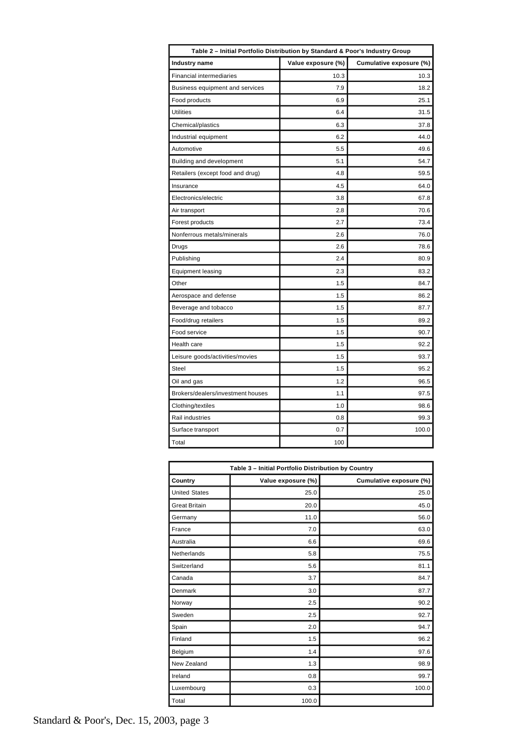| Table 2 - Initial Portfolio Distribution by Standard & Poor's Industry Group |                    |                         |  |  |
|------------------------------------------------------------------------------|--------------------|-------------------------|--|--|
| <b>Industry name</b>                                                         | Value exposure (%) | Cumulative exposure (%) |  |  |
| <b>Financial intermediaries</b>                                              | 10.3               | 10.3                    |  |  |
| Business equipment and services                                              | 7.9                | 18.2                    |  |  |
| Food products                                                                | 6.9                | 25.1                    |  |  |
| <b>Utilities</b>                                                             | 6.4                | 31.5                    |  |  |
| Chemical/plastics                                                            | 6.3                | 37.8                    |  |  |
| Industrial equipment                                                         | 6.2                | 44.0                    |  |  |
| Automotive                                                                   | 5.5                | 49.6                    |  |  |
| Building and development                                                     | 5.1                | 54.7                    |  |  |
| Retailers (except food and drug)                                             | 4.8                | 59.5                    |  |  |
| Insurance                                                                    | 4.5                | 64.0                    |  |  |
| Electronics/electric                                                         | 3.8                | 67.8                    |  |  |
| Air transport                                                                | 2.8                | 70.6                    |  |  |
| Forest products                                                              | 2.7                | 73.4                    |  |  |
| Nonferrous metals/minerals                                                   | 2.6                | 76.0                    |  |  |
| Drugs                                                                        | 2.6                | 78.6                    |  |  |
| Publishing                                                                   | 2.4                | 80.9                    |  |  |
| <b>Equipment leasing</b>                                                     | 2.3                | 83.2                    |  |  |
| Other                                                                        | 1.5                | 84.7                    |  |  |
| Aerospace and defense                                                        | 1.5                | 86.2                    |  |  |
| Beverage and tobacco                                                         | 1.5                | 87.7                    |  |  |
| Food/drug retailers                                                          | 1.5                | 89.2                    |  |  |
| Food service                                                                 | 1.5                | 90.7                    |  |  |
| Health care                                                                  | 1.5                | 92.2                    |  |  |
| Leisure goods/activities/movies                                              | 1.5                | 93.7                    |  |  |
| <b>Steel</b>                                                                 | 1.5                | 95.2                    |  |  |
| Oil and gas                                                                  | 1.2                | 96.5                    |  |  |
| Brokers/dealers/investment houses                                            | 1.1                | 97.5                    |  |  |
| Clothing/textiles                                                            | 1.0                | 98.6                    |  |  |
| <b>Rail industries</b>                                                       | 0.8                | 99.3                    |  |  |
| Surface transport                                                            | 0.7                | 100.0                   |  |  |
| Total                                                                        | 100                |                         |  |  |

| Table 3 - Initial Portfolio Distribution by Country |                    |                         |  |  |
|-----------------------------------------------------|--------------------|-------------------------|--|--|
| Country                                             | Value exposure (%) | Cumulative exposure (%) |  |  |
| <b>United States</b>                                | 25.0               | 25.0                    |  |  |
| <b>Great Britain</b>                                | 20.0               | 45.0                    |  |  |
| Germany                                             | 11.0               | 56.0                    |  |  |
| France                                              | 7.0                | 63.0                    |  |  |
| Australia                                           | 6.6                | 69.6                    |  |  |
| Netherlands                                         | 5.8                | 75.5                    |  |  |
| Switzerland                                         | 5.6                | 81.1                    |  |  |
| Canada                                              | 3.7                | 84.7                    |  |  |
| Denmark                                             | 3.0                | 87.7                    |  |  |
| Norway                                              | 2.5                | 90.2                    |  |  |
| Sweden                                              | 2.5                | 92.7                    |  |  |
| Spain                                               | 2.0                | 94.7                    |  |  |
| Finland                                             | 1.5                | 96.2                    |  |  |
| Belgium                                             | 1.4                | 97.6                    |  |  |
| New Zealand                                         | 1.3                | 98.9                    |  |  |
| Ireland                                             | 0.8                | 99.7                    |  |  |
| Luxembourg                                          | 0.3                | 100.0                   |  |  |
| Total                                               | 100.0              |                         |  |  |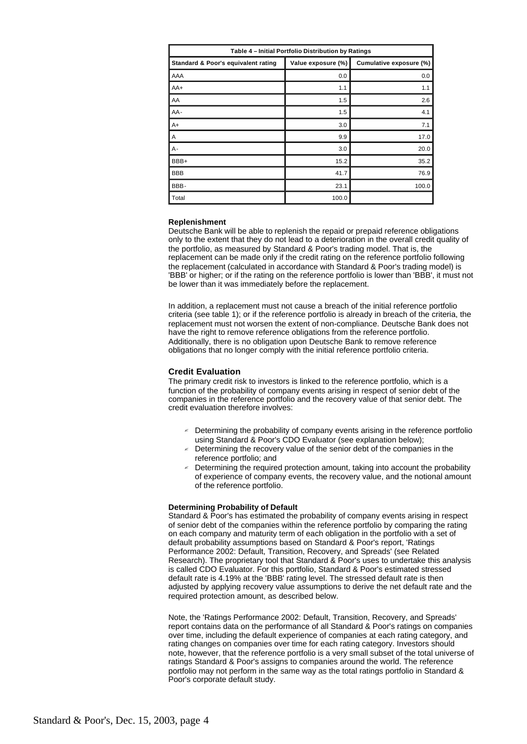| Table 4 - Initial Portfolio Distribution by Ratings |                    |                         |  |  |
|-----------------------------------------------------|--------------------|-------------------------|--|--|
| Standard & Poor's equivalent rating                 | Value exposure (%) | Cumulative exposure (%) |  |  |
| AAA                                                 | 0.0                | 0.0                     |  |  |
| $AA+$                                               | 1.1                | 1.1                     |  |  |
| AA                                                  | 1.5                | 2.6                     |  |  |
| AA-                                                 | 1.5                | 4.1                     |  |  |
| $A+$                                                | 3.0                | 7.1                     |  |  |
| Α                                                   | 9.9                | 17.0                    |  |  |
| A-                                                  | 3.0                | 20.0                    |  |  |
| BBB+                                                | 15.2               | 35.2                    |  |  |
| <b>BBB</b>                                          | 41.7               | 76.9                    |  |  |
| BBB-                                                | 23.1               | 100.0                   |  |  |
| Total                                               | 100.0              |                         |  |  |

#### **Replenishment**

Deutsche Bank will be able to replenish the repaid or prepaid reference obligations only to the extent that they do not lead to a deterioration in the overall credit quality of the portfolio, as measured by Standard & Poor's trading model. That is, the replacement can be made only if the credit rating on the reference portfolio following the replacement (calculated in accordance with Standard & Poor's trading model) is 'BBB' or higher; or if the rating on the reference portfolio is lower than 'BBB', it must not be lower than it was immediately before the replacement.

In addition, a replacement must not cause a breach of the initial reference portfolio criteria (see table 1); or if the reference portfolio is already in breach of the criteria, the replacement must not worsen the extent of non-compliance. Deutsche Bank does not have the right to remove reference obligations from the reference portfolio. Additionally, there is no obligation upon Deutsche Bank to remove reference obligations that no longer comply with the initial reference portfolio criteria.

#### **Credit Evaluation**

The primary credit risk to investors is linked to the reference portfolio, which is a function of the probability of company events arising in respect of senior debt of the companies in the reference portfolio and the recovery value of that senior debt. The credit evaluation therefore involves:

- $\leq$  Determining the probability of company events arising in the reference portfolio using Standard & Poor's CDO Evaluator (see explanation below);
- $\epsilon$  Determining the recovery value of the senior debt of the companies in the reference portfolio; and
- $\leq$  Determining the required protection amount, taking into account the probability of experience of company events, the recovery value, and the notional amount of the reference portfolio.

### **Determining Probability of Default**

Standard & Poor's has estimated the probability of company events arising in respect of senior debt of the companies within the reference portfolio by comparing the rating on each company and maturity term of each obligation in the portfolio with a set of default probability assumptions based on Standard & Poor's report, 'Ratings Performance 2002: Default, Transition, Recovery, and Spreads' (see Related Research). The proprietary tool that Standard & Poor's uses to undertake this analysis is called CDO Evaluator. For this portfolio, Standard & Poor's estimated stressed default rate is 4.19% at the 'BBB' rating level. The stressed default rate is then adjusted by applying recovery value assumptions to derive the net default rate and the required protection amount, as described below.

Note, the 'Ratings Performance 2002: Default, Transition, Recovery, and Spreads' report contains data on the performance of all Standard & Poor's ratings on companies over time, including the default experience of companies at each rating category, and rating changes on companies over time for each rating category. Investors should note, however, that the reference portfolio is a very small subset of the total universe of ratings Standard & Poor's assigns to companies around the world. The reference portfolio may not perform in the same way as the total ratings portfolio in Standard & Poor's corporate default study.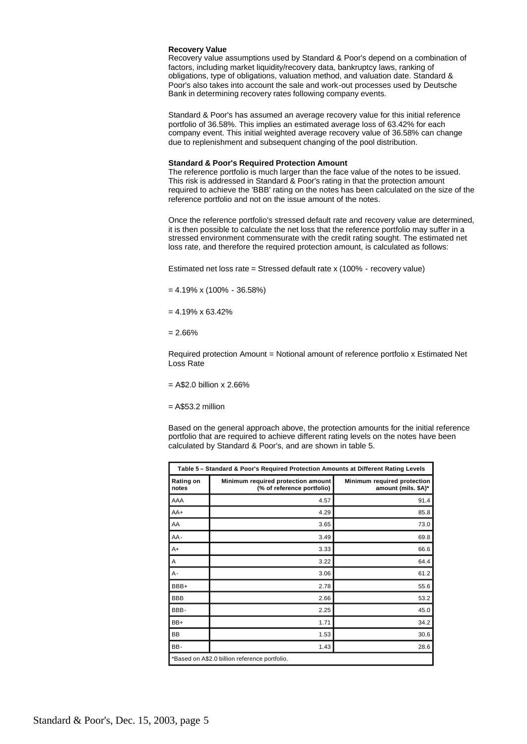#### **Recovery Value**

Recovery value assumptions used by Standard & Poor's depend on a combination of factors, including market liquidity/recovery data, bankruptcy laws, ranking of obligations, type of obligations, valuation method, and valuation date. Standard & Poor's also takes into account the sale and work-out processes used by Deutsche Bank in determining recovery rates following company events.

Standard & Poor's has assumed an average recovery value for this initial reference portfolio of 36.58%. This implies an estimated average loss of 63.42% for each company event. This initial weighted average recovery value of 36.58% can change due to replenishment and subsequent changing of the pool distribution.

#### **Standard & Poor's Required Protection Amount**

The reference portfolio is much larger than the face value of the notes to be issued. This risk is addressed in Standard & Poor's rating in that the protection amount required to achieve the 'BBB' rating on the notes has been calculated on the size of the reference portfolio and not on the issue amount of the notes.

Once the reference portfolio's stressed default rate and recovery value are determined, it is then possible to calculate the net loss that the reference portfolio may suffer in a stressed environment commensurate with the credit rating sought. The estimated net loss rate, and therefore the required protection amount, is calculated as follows:

Estimated net loss rate = Stressed default rate x (100% - recovery value)

 $= 4.19\% \times (100\% - 36.58\%)$ 

 $= 4.19\% \times 63.42\%$ 

 $= 2.66%$ 

Required protection Amount = Notional amount of reference portfolio x Estimated Net Loss Rate

 $=$  A\$2.0 billion x 2.66%

 $=$  A\$53.2 million

Based on the general approach above, the protection amounts for the initial reference portfolio that are required to achieve different rating levels on the notes have been calculated by Standard & Poor's, and are shown in table 5.

| Table 5- Standard & Poor's Required Protection Amounts at Different Rating Levels |                                                                  |                                                    |  |
|-----------------------------------------------------------------------------------|------------------------------------------------------------------|----------------------------------------------------|--|
| Rating on<br>notes                                                                | Minimum required protection amount<br>(% of reference portfolio) | Minimum required protection<br>amount (mils. \$A)* |  |
| AAA                                                                               | 4.57                                                             | 91.4                                               |  |
| $AA+$                                                                             | 4.29                                                             | 85.8                                               |  |
| AA                                                                                | 3.65                                                             | 73.0                                               |  |
| AA-                                                                               | 3.49                                                             | 69.8                                               |  |
| $A+$                                                                              | 3.33                                                             | 66.6                                               |  |
| Α                                                                                 | 3.22                                                             | 64.4                                               |  |
| $A -$                                                                             | 3.06                                                             | 61.2                                               |  |
| BBB+                                                                              | 2.78                                                             | 55.6                                               |  |
| <b>BBB</b>                                                                        | 2.66                                                             | 53.2                                               |  |
| BBB-                                                                              | 2.25                                                             | 45.0                                               |  |
| BB+                                                                               | 1.71                                                             | 34.2                                               |  |
| BB                                                                                | 1.53                                                             | 30.6                                               |  |
| BB-                                                                               | 1.43                                                             | 28.6                                               |  |
| *Based on A\$2.0 billion reference portfolio.                                     |                                                                  |                                                    |  |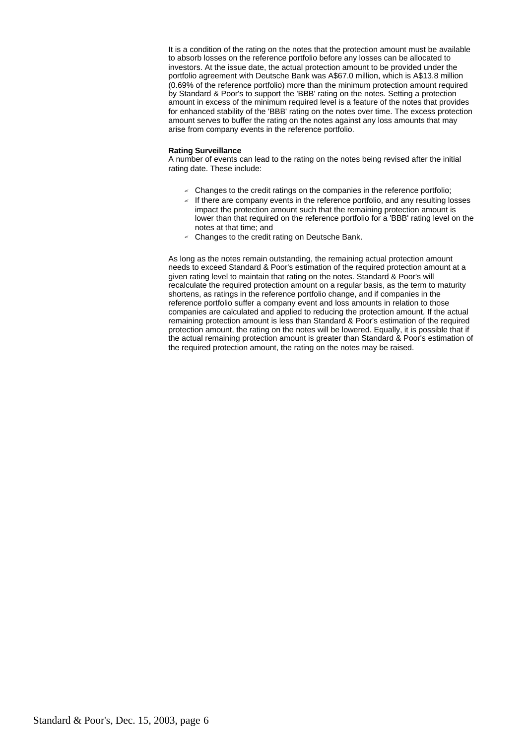It is a condition of the rating on the notes that the protection amount must be available to absorb losses on the reference portfolio before any losses can be allocated to investors. At the issue date, the actual protection amount to be provided under the portfolio agreement with Deutsche Bank was A\$67.0 million, which is A\$13.8 million (0.69% of the reference portfolio) more than the minimum protection amount required by Standard & Poor's to support the 'BBB' rating on the notes. Setting a protection amount in excess of the minimum required level is a feature of the notes that provides for enhanced stability of the 'BBB' rating on the notes over time. The excess protection amount serves to buffer the rating on the notes against any loss amounts that may arise from company events in the reference portfolio.

### **Rating Surveillance**

A number of events can lead to the rating on the notes being revised after the initial rating date. These include:

- $\leq$  Changes to the credit ratings on the companies in the reference portfolio;
- $\leq$  If there are company events in the reference portfolio, and any resulting losses impact the protection amount such that the remaining protection amount is lower than that required on the reference portfolio for a 'BBB' rating level on the notes at that time; and
- $\le$  Changes to the credit rating on Deutsche Bank.

As long as the notes remain outstanding, the remaining actual protection amount needs to exceed Standard & Poor's estimation of the required protection amount at a given rating level to maintain that rating on the notes. Standard & Poor's will recalculate the required protection amount on a regular basis, as the term to maturity shortens, as ratings in the reference portfolio change, and if companies in the reference portfolio suffer a company event and loss amounts in relation to those companies are calculated and applied to reducing the protection amount. If the actual remaining protection amount is less than Standard & Poor's estimation of the required protection amount, the rating on the notes will be lowered. Equally, it is possible that if the actual remaining protection amount is greater than Standard & Poor's estimation of the required protection amount, the rating on the notes may be raised.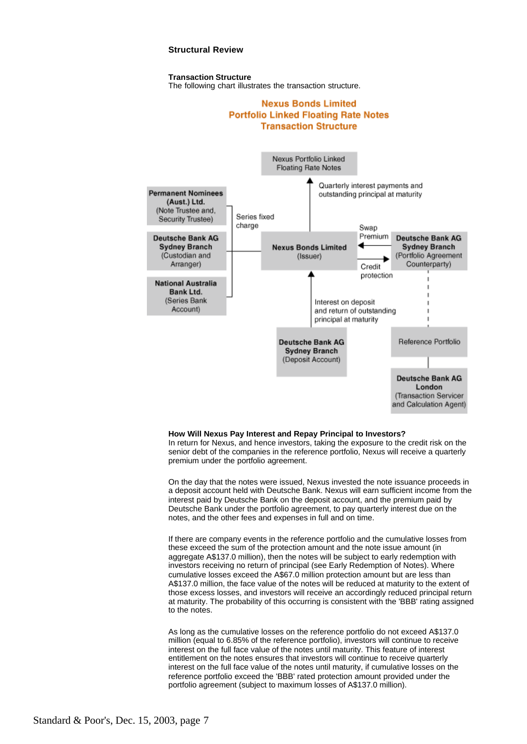# **Structural Review**

#### **Transaction Structure**

The following chart illustrates the transaction structure.

# **Nexus Bonds Limited Portfolio Linked Floating Rate Notes Transaction Structure**



#### **How Will Nexus Pay Interest and Repay Principal to Investors?**

In return for Nexus, and hence investors, taking the exposure to the credit risk on the senior debt of the companies in the reference portfolio, Nexus will receive a quarterly premium under the portfolio agreement.

On the day that the notes were issued, Nexus invested the note issuance proceeds in a deposit account held with Deutsche Bank. Nexus will earn sufficient income from the interest paid by Deutsche Bank on the deposit account, and the premium paid by Deutsche Bank under the portfolio agreement, to pay quarterly interest due on the notes, and the other fees and expenses in full and on time.

If there are company events in the reference portfolio and the cumulative losses from these exceed the sum of the protection amount and the note issue amount (in aggregate A\$137.0 million), then the notes will be subject to early redemption with investors receiving no return of principal (see Early Redemption of Notes). Where cumulative losses exceed the A\$67.0 million protection amount but are less than A\$137.0 million, the face value of the notes will be reduced at maturity to the extent of those excess losses, and investors will receive an accordingly reduced principal return at maturity. The probability of this occurring is consistent with the 'BBB' rating assigned to the notes.

As long as the cumulative losses on the reference portfolio do not exceed A\$137.0 million (equal to 6.85% of the reference portfolio), investors will continue to receive interest on the full face value of the notes until maturity. This feature of interest entitlement on the notes ensures that investors will continue to receive quarterly interest on the full face value of the notes until maturity, if cumulative losses on the reference portfolio exceed the 'BBB' rated protection amount provided under the portfolio agreement (subject to maximum losses of A\$137.0 million).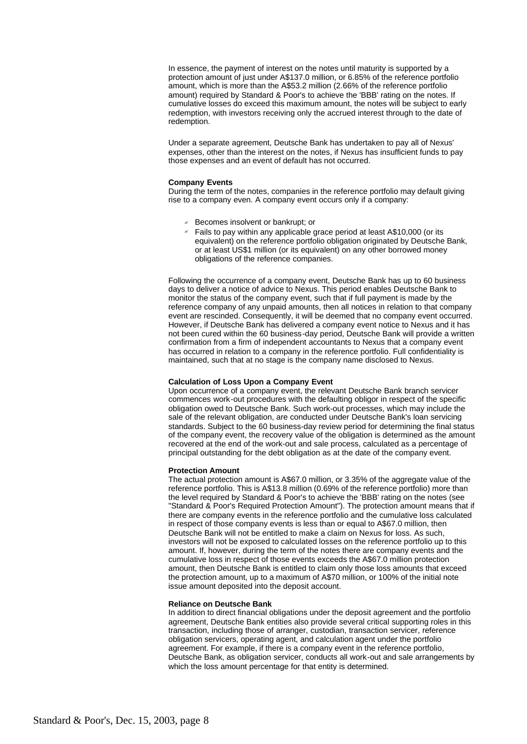In essence, the payment of interest on the notes until maturity is supported by a protection amount of just under A\$137.0 million, or 6.85% of the reference portfolio amount, which is more than the A\$53.2 million (2.66% of the reference portfolio amount) required by Standard & Poor's to achieve the 'BBB' rating on the notes. If cumulative losses do exceed this maximum amount, the notes will be subject to early redemption, with investors receiving only the accrued interest through to the date of redemption.

Under a separate agreement, Deutsche Bank has undertaken to pay all of Nexus' expenses, other than the interest on the notes, if Nexus has insufficient funds to pay those expenses and an event of default has not occurred.

#### **Company Events**

During the term of the notes, companies in the reference portfolio may default giving rise to a company even. A company event occurs only if a company:

- ? Becomes insolvent or bankrupt; or
- $\le$  Fails to pay within any applicable grace period at least A\$10,000 (or its equivalent) on the reference portfolio obligation originated by Deutsche Bank, or at least US\$1 million (or its equivalent) on any other borrowed money obligations of the reference companies.

Following the occurrence of a company event, Deutsche Bank has up to 60 business days to deliver a notice of advice to Nexus. This period enables Deutsche Bank to monitor the status of the company event, such that if full payment is made by the reference company of any unpaid amounts, then all notices in relation to that company event are rescinded. Consequently, it will be deemed that no company event occurred. However, if Deutsche Bank has delivered a company event notice to Nexus and it has not been cured within the 60 business-day period, Deutsche Bank will provide a written confirmation from a firm of independent accountants to Nexus that a company event has occurred in relation to a company in the reference portfolio. Full confidentiality is maintained, such that at no stage is the company name disclosed to Nexus.

#### **Calculation of Loss Upon a Company Event**

Upon occurrence of a company event, the relevant Deutsche Bank branch servicer commences work-out procedures with the defaulting obligor in respect of the specific obligation owed to Deutsche Bank. Such work-out processes, which may include the sale of the relevant obligation, are conducted under Deutsche Bank's loan servicing standards. Subject to the 60 business-day review period for determining the final status of the company event, the recovery value of the obligation is determined as the amount recovered at the end of the work-out and sale process, calculated as a percentage of principal outstanding for the debt obligation as at the date of the company event.

# **Protection Amount**

The actual protection amount is A\$67.0 million, or 3.35% of the aggregate value of the reference portfolio. This is A\$13.8 million (0.69% of the reference portfolio) more than the level required by Standard & Poor's to achieve the 'BBB' rating on the notes (see "Standard & Poor's Required Protection Amount"). The protection amount means that if there are company events in the reference portfolio and the cumulative loss calculated in respect of those company events is less than or equal to A\$67.0 million, then Deutsche Bank will not be entitled to make a claim on Nexus for loss. As such, investors will not be exposed to calculated losses on the reference portfolio up to this amount. If, however, during the term of the notes there are company events and the cumulative loss in respect of those events exceeds the A\$67.0 million protection amount, then Deutsche Bank is entitled to claim only those loss amounts that exceed the protection amount, up to a maximum of A\$70 million, or 100% of the initial note issue amount deposited into the deposit account.

# **Reliance on Deutsche Bank**

In addition to direct financial obligations under the deposit agreement and the portfolio agreement, Deutsche Bank entities also provide several critical supporting roles in this transaction, including those of arranger, custodian, transaction servicer, reference obligation servicers, operating agent, and calculation agent under the portfolio agreement. For example, if there is a company event in the reference portfolio, Deutsche Bank, as obligation servicer, conducts all work-out and sale arrangements by which the loss amount percentage for that entity is determined.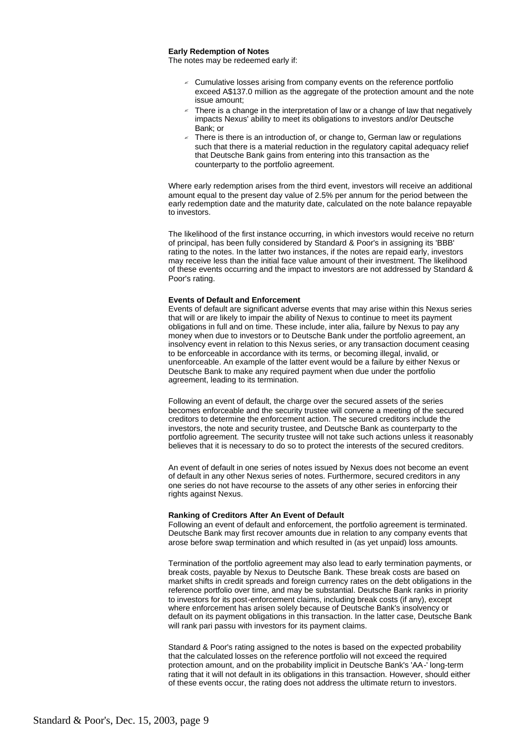#### **Early Redemption of Notes**

The notes may be redeemed early if:

- $\leq$  Cumulative losses arising from company events on the reference portfolio exceed A\$137.0 million as the aggregate of the protection amount and the note issue amount;
- $\le$  There is a change in the interpretation of law or a change of law that negatively impacts Nexus' ability to meet its obligations to investors and/or Deutsche Bank; or
- There is there is an introduction of, or change to, German law or regulations such that there is a material reduction in the regulatory capital adequacy relief that Deutsche Bank gains from entering into this transaction as the counterparty to the portfolio agreement.

Where early redemption arises from the third event, investors will receive an additional amount equal to the present day value of 2.5% per annum for the period between the early redemption date and the maturity date, calculated on the note balance repayable to investors.

The likelihood of the first instance occurring, in which investors would receive no return of principal, has been fully considered by Standard & Poor's in assigning its 'BBB' rating to the notes. In the latter two instances, if the notes are repaid early, investors may receive less than the initial face value amount of their investment. The likelihood of these events occurring and the impact to investors are not addressed by Standard & Poor's rating.

#### **Events of Default and Enforcement**

Events of default are significant adverse events that may arise within this Nexus series that will or are likely to impair the ability of Nexus to continue to meet its payment obligations in full and on time. These include, inter alia, failure by Nexus to pay any money when due to investors or to Deutsche Bank under the portfolio agreement, an insolvency event in relation to this Nexus series, or any transaction document ceasing to be enforceable in accordance with its terms, or becoming illegal, invalid, or unenforceable. An example of the latter event would be a failure by either Nexus or Deutsche Bank to make any required payment when due under the portfolio agreement, leading to its termination.

Following an event of default, the charge over the secured assets of the series becomes enforceable and the security trustee will convene a meeting of the secured creditors to determine the enforcement action. The secured creditors include the investors, the note and security trustee, and Deutsche Bank as counterparty to the portfolio agreement. The security trustee will not take such actions unless it reasonably believes that it is necessary to do so to protect the interests of the secured creditors.

An event of default in one series of notes issued by Nexus does not become an event of default in any other Nexus series of notes. Furthermore, secured creditors in any one series do not have recourse to the assets of any other series in enforcing their rights against Nexus.

#### **Ranking of Creditors After An Event of Default**

Following an event of default and enforcement, the portfolio agreement is terminated. Deutsche Bank may first recover amounts due in relation to any company events that arose before swap termination and which resulted in (as yet unpaid) loss amounts.

Termination of the portfolio agreement may also lead to early termination payments, or break costs, payable by Nexus to Deutsche Bank. These break costs are based on market shifts in credit spreads and foreign currency rates on the debt obligations in the reference portfolio over time, and may be substantial. Deutsche Bank ranks in priority to investors for its post-enforcement claims, including break costs (if any), except where enforcement has arisen solely because of Deutsche Bank's insolvency or default on its payment obligations in this transaction. In the latter case, Deutsche Bank will rank pari passu with investors for its payment claims.

Standard & Poor's rating assigned to the notes is based on the expected probability that the calculated losses on the reference portfolio will not exceed the required protection amount, and on the probability implicit in Deutsche Bank's 'AA-' long-term rating that it will not default in its obligations in this transaction. However, should either of these events occur, the rating does not address the ultimate return to investors.